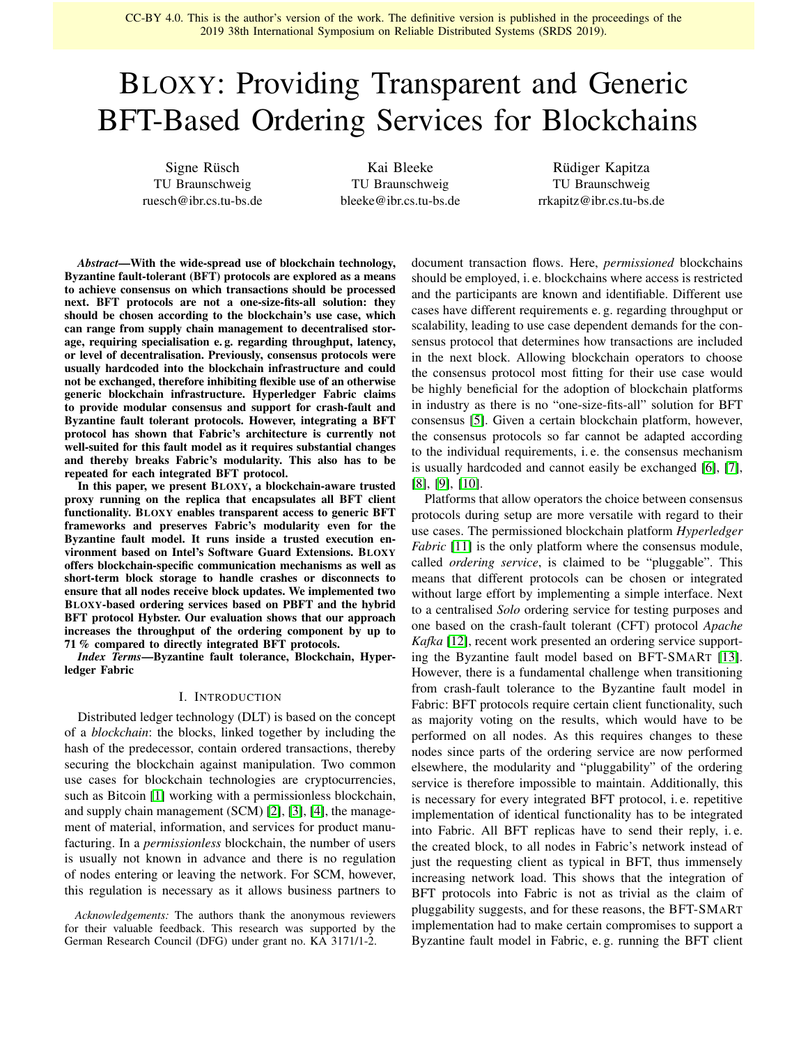CC-BY 4.0. This is the author's version of the work. The definitive version is published in the proceedings of the 2019 38th International Symposium on Reliable Distributed Systems (SRDS 2019).

# BLOXY: Providing Transparent and Generic BFT-Based Ordering Services for Blockchains

Signe Rüsch TU Braunschweig ruesch@ibr.cs.tu-bs.de

Kai Bleeke TU Braunschweig bleeke@ibr.cs.tu-bs.de

Rüdiger Kapitza TU Braunschweig rrkapitz@ibr.cs.tu-bs.de

*Abstract*—With the wide-spread use of blockchain technology, Byzantine fault-tolerant (BFT) protocols are explored as a means to achieve consensus on which transactions should be processed next. BFT protocols are not a one-size-fits-all solution: they should be chosen according to the blockchain's use case, which can range from supply chain management to decentralised storage, requiring specialisation e. g. regarding throughput, latency, or level of decentralisation. Previously, consensus protocols were usually hardcoded into the blockchain infrastructure and could not be exchanged, therefore inhibiting flexible use of an otherwise generic blockchain infrastructure. Hyperledger Fabric claims to provide modular consensus and support for crash-fault and Byzantine fault tolerant protocols. However, integrating a BFT protocol has shown that Fabric's architecture is currently not well-suited for this fault model as it requires substantial changes and thereby breaks Fabric's modularity. This also has to be repeated for each integrated BFT protocol.

In this paper, we present BLOXY, a blockchain-aware trusted proxy running on the replica that encapsulates all BFT client functionality. BLOXY enables transparent access to generic BFT frameworks and preserves Fabric's modularity even for the Byzantine fault model. It runs inside a trusted execution environment based on Intel's Software Guard Extensions. BLOXY offers blockchain-specific communication mechanisms as well as short-term block storage to handle crashes or disconnects to ensure that all nodes receive block updates. We implemented two BLOXY-based ordering services based on PBFT and the hybrid BFT protocol Hybster. Our evaluation shows that our approach increases the throughput of the ordering component by up to 71 % compared to directly integrated BFT protocols.

*Index Terms*—Byzantine fault tolerance, Blockchain, Hyperledger Fabric

# I. INTRODUCTION

Distributed ledger technology (DLT) is based on the concept of a *blockchain*: the blocks, linked together by including the hash of the predecessor, contain ordered transactions, thereby securing the blockchain against manipulation. Two common use cases for blockchain technologies are cryptocurrencies, such as Bitcoin [\[1\]](#page-9-0) working with a permissionless blockchain, and supply chain management (SCM) [\[2\]](#page-9-1), [\[3\]](#page-9-2), [\[4\]](#page-9-3), the management of material, information, and services for product manufacturing. In a *permissionless* blockchain, the number of users is usually not known in advance and there is no regulation of nodes entering or leaving the network. For SCM, however, this regulation is necessary as it allows business partners to

*Acknowledgements:* The authors thank the anonymous reviewers for their valuable feedback. This research was supported by the German Research Council (DFG) under grant no. KA 3171/1-2.

document transaction flows. Here, *permissioned* blockchains should be employed, i. e. blockchains where access is restricted and the participants are known and identifiable. Different use cases have different requirements e. g. regarding throughput or scalability, leading to use case dependent demands for the consensus protocol that determines how transactions are included in the next block. Allowing blockchain operators to choose the consensus protocol most fitting for their use case would be highly beneficial for the adoption of blockchain platforms in industry as there is no "one-size-fits-all" solution for BFT consensus [\[5\]](#page-9-4). Given a certain blockchain platform, however, the consensus protocols so far cannot be adapted according to the individual requirements, i. e. the consensus mechanism is usually hardcoded and cannot easily be exchanged [\[6\]](#page-9-5), [\[7\]](#page-9-6), [\[8\]](#page-9-7), [\[9\]](#page-9-8), [\[10\]](#page-9-9).

Platforms that allow operators the choice between consensus protocols during setup are more versatile with regard to their use cases. The permissioned blockchain platform *Hyperledger Fabric* [\[11\]](#page-9-10) is the only platform where the consensus module, called *ordering service*, is claimed to be "pluggable". This means that different protocols can be chosen or integrated without large effort by implementing a simple interface. Next to a centralised *Solo* ordering service for testing purposes and one based on the crash-fault tolerant (CFT) protocol *Apache Kafka* [\[12\]](#page-9-11), recent work presented an ordering service supporting the Byzantine fault model based on BFT-SMART [\[13\]](#page-9-12). However, there is a fundamental challenge when transitioning from crash-fault tolerance to the Byzantine fault model in Fabric: BFT protocols require certain client functionality, such as majority voting on the results, which would have to be performed on all nodes. As this requires changes to these nodes since parts of the ordering service are now performed elsewhere, the modularity and "pluggability" of the ordering service is therefore impossible to maintain. Additionally, this is necessary for every integrated BFT protocol, i. e. repetitive implementation of identical functionality has to be integrated into Fabric. All BFT replicas have to send their reply, i. e. the created block, to all nodes in Fabric's network instead of just the requesting client as typical in BFT, thus immensely increasing network load. This shows that the integration of BFT protocols into Fabric is not as trivial as the claim of pluggability suggests, and for these reasons, the BFT-SMART implementation had to make certain compromises to support a Byzantine fault model in Fabric, e. g. running the BFT client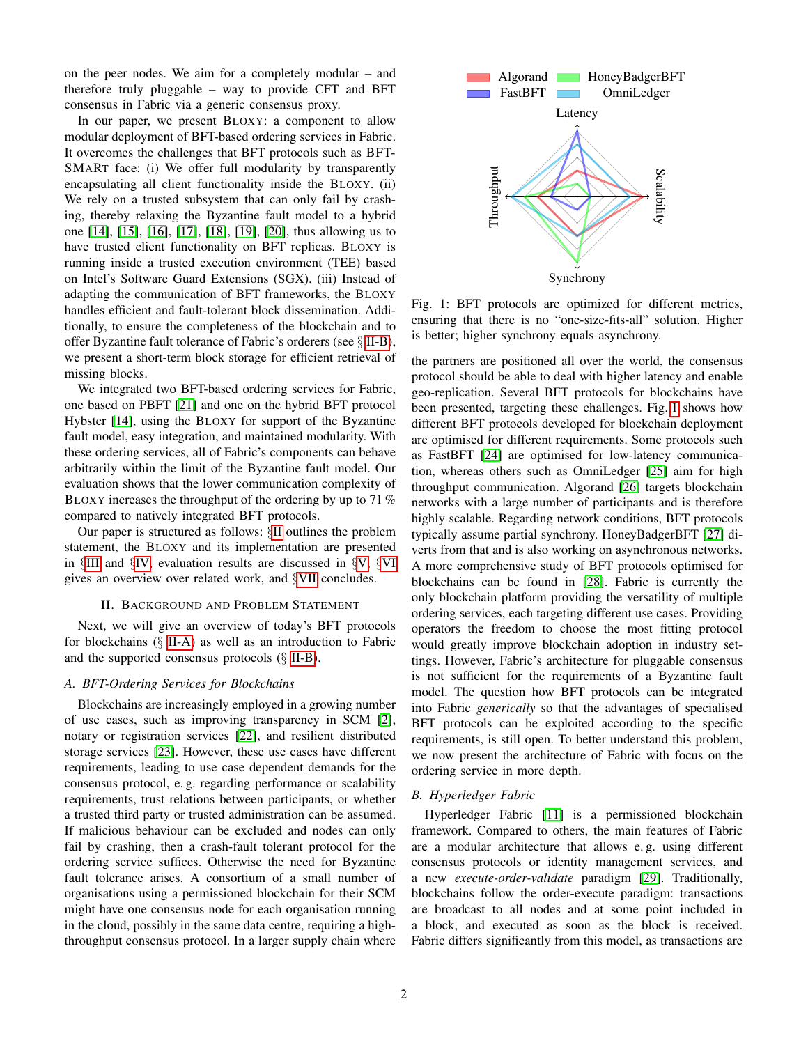on the peer nodes. We aim for a completely modular – and therefore truly pluggable – way to provide CFT and BFT consensus in Fabric via a generic consensus proxy.

In our paper, we present BLOXY: a component to allow modular deployment of BFT-based ordering services in Fabric. It overcomes the challenges that BFT protocols such as BFT-SMART face: (i) We offer full modularity by transparently encapsulating all client functionality inside the BLOXY. (ii) We rely on a trusted subsystem that can only fail by crashing, thereby relaxing the Byzantine fault model to a hybrid one [\[14\]](#page-9-13), [\[15\]](#page-9-14), [\[16\]](#page-9-15), [\[17\]](#page-9-16), [\[18\]](#page-9-17), [\[19\]](#page-9-18), [\[20\]](#page-9-19), thus allowing us to have trusted client functionality on BFT replicas. BLOXY is running inside a trusted execution environment (TEE) based on Intel's Software Guard Extensions (SGX). (iii) Instead of adapting the communication of BFT frameworks, the BLOXY handles efficient and fault-tolerant block dissemination. Additionally, to ensure the completeness of the blockchain and to offer Byzantine fault tolerance of Fabric's orderers (see § [II-B\)](#page-1-0), we present a short-term block storage for efficient retrieval of missing blocks.

We integrated two BFT-based ordering services for Fabric, one based on PBFT [\[21\]](#page-9-20) and one on the hybrid BFT protocol Hybster [\[14\]](#page-9-13), using the BLOXY for support of the Byzantine fault model, easy integration, and maintained modularity. With these ordering services, all of Fabric's components can behave arbitrarily within the limit of the Byzantine fault model. Our evaluation shows that the lower communication complexity of BLOXY increases the throughput of the ordering by up to 71 % compared to natively integrated BFT protocols.

Our paper is structured as follows: §[II](#page-1-1) outlines the problem statement, the BLOXY and its implementation are presented in §[III](#page-3-0) and §[IV,](#page-6-0) evaluation results are discussed in §[V,](#page-7-0) §[VI](#page-8-0) gives an overview over related work, and §[VII](#page-9-21) concludes.

#### II. BACKGROUND AND PROBLEM STATEMENT

<span id="page-1-1"></span>Next, we will give an overview of today's BFT protocols for blockchains (§ [II-A\)](#page-1-2) as well as an introduction to Fabric and the supported consensus protocols  $(\S$  [II-B\)](#page-1-0).

# <span id="page-1-2"></span>*A. BFT-Ordering Services for Blockchains*

Blockchains are increasingly employed in a growing number of use cases, such as improving transparency in SCM [\[2\]](#page-9-1), notary or registration services [\[22\]](#page-9-22), and resilient distributed storage services [\[23\]](#page-9-23). However, these use cases have different requirements, leading to use case dependent demands for the consensus protocol, e. g. regarding performance or scalability requirements, trust relations between participants, or whether a trusted third party or trusted administration can be assumed. If malicious behaviour can be excluded and nodes can only fail by crashing, then a crash-fault tolerant protocol for the ordering service suffices. Otherwise the need for Byzantine fault tolerance arises. A consortium of a small number of organisations using a permissioned blockchain for their SCM might have one consensus node for each organisation running in the cloud, possibly in the same data centre, requiring a highthroughput consensus protocol. In a larger supply chain where

<span id="page-1-3"></span>

Fig. 1: BFT protocols are optimized for different metrics, ensuring that there is no "one-size-fits-all" solution. Higher is better; higher synchrony equals asynchrony.

the partners are positioned all over the world, the consensus protocol should be able to deal with higher latency and enable geo-replication. Several BFT protocols for blockchains have been presented, targeting these challenges. Fig. [1](#page-1-3) shows how different BFT protocols developed for blockchain deployment are optimised for different requirements. Some protocols such as FastBFT [\[24\]](#page-9-24) are optimised for low-latency communication, whereas others such as OmniLedger [\[25\]](#page-9-25) aim for high throughput communication. Algorand [\[26\]](#page-9-26) targets blockchain networks with a large number of participants and is therefore highly scalable. Regarding network conditions, BFT protocols typically assume partial synchrony. HoneyBadgerBFT [\[27\]](#page-9-27) diverts from that and is also working on asynchronous networks. A more comprehensive study of BFT protocols optimised for blockchains can be found in [\[28\]](#page-9-28). Fabric is currently the only blockchain platform providing the versatility of multiple ordering services, each targeting different use cases. Providing operators the freedom to choose the most fitting protocol would greatly improve blockchain adoption in industry settings. However, Fabric's architecture for pluggable consensus is not sufficient for the requirements of a Byzantine fault model. The question how BFT protocols can be integrated into Fabric *generically* so that the advantages of specialised BFT protocols can be exploited according to the specific requirements, is still open. To better understand this problem, we now present the architecture of Fabric with focus on the ordering service in more depth.

#### <span id="page-1-0"></span>*B. Hyperledger Fabric*

Hyperledger Fabric [\[11\]](#page-9-10) is a permissioned blockchain framework. Compared to others, the main features of Fabric are a modular architecture that allows e. g. using different consensus protocols or identity management services, and a new *execute-order-validate* paradigm [\[29\]](#page-9-29). Traditionally, blockchains follow the order-execute paradigm: transactions are broadcast to all nodes and at some point included in a block, and executed as soon as the block is received. Fabric differs significantly from this model, as transactions are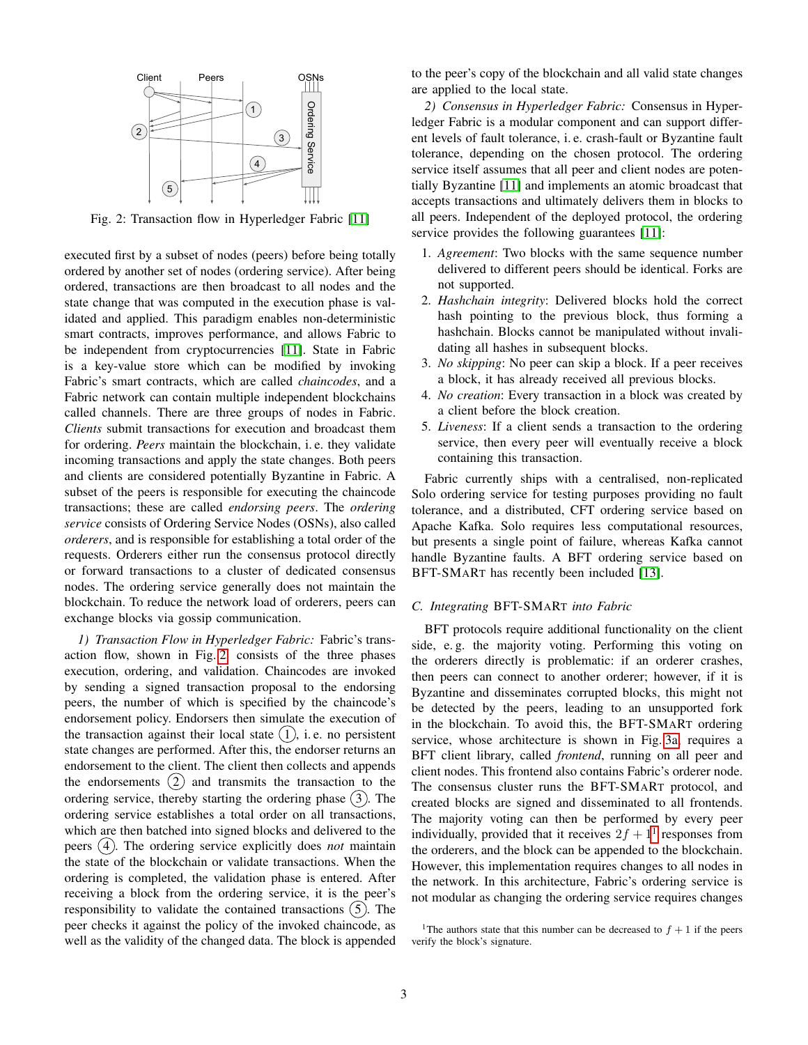<span id="page-2-0"></span>

Fig. 2: Transaction flow in Hyperledger Fabric [\[11\]](#page-9-10)

executed first by a subset of nodes (peers) before being totally ordered by another set of nodes (ordering service). After being ordered, transactions are then broadcast to all nodes and the state change that was computed in the execution phase is validated and applied. This paradigm enables non-deterministic smart contracts, improves performance, and allows Fabric to be independent from cryptocurrencies [\[11\]](#page-9-10). State in Fabric is a key-value store which can be modified by invoking Fabric's smart contracts, which are called *chaincodes*, and a Fabric network can contain multiple independent blockchains called channels. There are three groups of nodes in Fabric. *Clients* submit transactions for execution and broadcast them for ordering. *Peers* maintain the blockchain, i. e. they validate incoming transactions and apply the state changes. Both peers and clients are considered potentially Byzantine in Fabric. A subset of the peers is responsible for executing the chaincode transactions; these are called *endorsing peers*. The *ordering service* consists of Ordering Service Nodes (OSNs), also called *orderers*, and is responsible for establishing a total order of the requests. Orderers either run the consensus protocol directly or forward transactions to a cluster of dedicated consensus nodes. The ordering service generally does not maintain the blockchain. To reduce the network load of orderers, peers can exchange blocks via gossip communication.

*1) Transaction Flow in Hyperledger Fabric:* Fabric's transaction flow, shown in Fig. [2,](#page-2-0) consists of the three phases execution, ordering, and validation. Chaincodes are invoked by sending a signed transaction proposal to the endorsing peers, the number of which is specified by the chaincode's endorsement policy. Endorsers then simulate the execution of the transaction against their local state  $(1)$ , i.e. no persistent state changes are performed. After this, the endorser returns an endorsement to the client. The client then collects and appends the endorsements  $(2)$  and transmits the transaction to the ordering service, thereby starting the ordering phase  $(3)$ . The ordering service establishes a total order on all transactions, which are then batched into signed blocks and delivered to the peers (4). The ordering service explicitly does *not* maintain the state of the blockchain or validate transactions. When the ordering is completed, the validation phase is entered. After receiving a block from the ordering service, it is the peer's responsibility to validate the contained transactions  $(5)$ . The peer checks it against the policy of the invoked chaincode, as well as the validity of the changed data. The block is appended to the peer's copy of the blockchain and all valid state changes are applied to the local state.

*2) Consensus in Hyperledger Fabric:* Consensus in Hyperledger Fabric is a modular component and can support different levels of fault tolerance, i. e. crash-fault or Byzantine fault tolerance, depending on the chosen protocol. The ordering service itself assumes that all peer and client nodes are potentially Byzantine [\[11\]](#page-9-10) and implements an atomic broadcast that accepts transactions and ultimately delivers them in blocks to all peers. Independent of the deployed protocol, the ordering service provides the following guarantees [\[11\]](#page-9-10):

- 1. *Agreement*: Two blocks with the same sequence number delivered to different peers should be identical. Forks are not supported.
- 2. *Hashchain integrity*: Delivered blocks hold the correct hash pointing to the previous block, thus forming a hashchain. Blocks cannot be manipulated without invalidating all hashes in subsequent blocks.
- 3. *No skipping*: No peer can skip a block. If a peer receives a block, it has already received all previous blocks.
- 4. *No creation*: Every transaction in a block was created by a client before the block creation.
- 5. *Liveness*: If a client sends a transaction to the ordering service, then every peer will eventually receive a block containing this transaction.

Fabric currently ships with a centralised, non-replicated Solo ordering service for testing purposes providing no fault tolerance, and a distributed, CFT ordering service based on Apache Kafka. Solo requires less computational resources, but presents a single point of failure, whereas Kafka cannot handle Byzantine faults. A BFT ordering service based on BFT-SMART has recently been included [\[13\]](#page-9-12).

#### *C. Integrating* BFT-SMART *into Fabric*

BFT protocols require additional functionality on the client side, e. g. the majority voting. Performing this voting on the orderers directly is problematic: if an orderer crashes, then peers can connect to another orderer; however, if it is Byzantine and disseminates corrupted blocks, this might not be detected by the peers, leading to an unsupported fork in the blockchain. To avoid this, the BFT-SMART ordering service, whose architecture is shown in Fig. [3a,](#page-3-1) requires a BFT client library, called *frontend*, running on all peer and client nodes. This frontend also contains Fabric's orderer node. The consensus cluster runs the BFT-SMART protocol, and created blocks are signed and disseminated to all frontends. The majority voting can then be performed by every peer individually, provided that it receives  $2f + 1<sup>1</sup>$  $2f + 1<sup>1</sup>$  $2f + 1<sup>1</sup>$  responses from the orderers, and the block can be appended to the blockchain. However, this implementation requires changes to all nodes in the network. In this architecture, Fabric's ordering service is not modular as changing the ordering service requires changes

<span id="page-2-1"></span><sup>&</sup>lt;sup>1</sup>The authors state that this number can be decreased to  $f + 1$  if the peers verify the block's signature.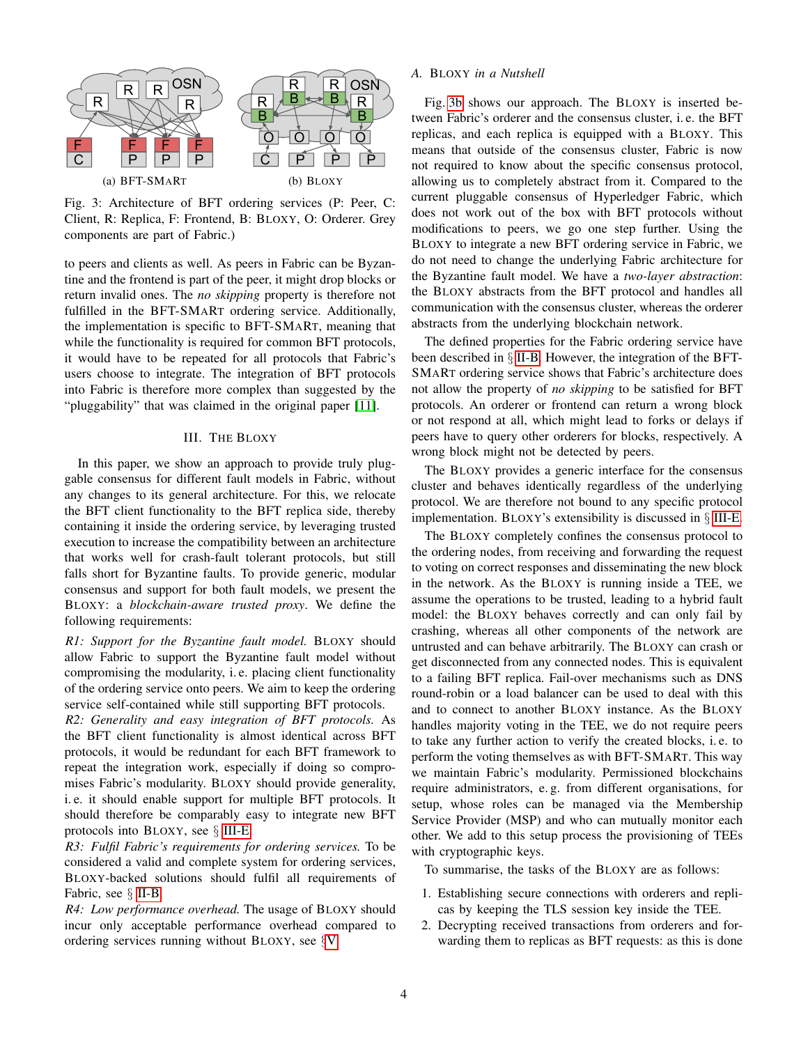<span id="page-3-1"></span>

Fig. 3: Architecture of BFT ordering services (P: Peer, C: Client, R: Replica, F: Frontend, B: BLOXY, O: Orderer. Grey components are part of Fabric.)

to peers and clients as well. As peers in Fabric can be Byzantine and the frontend is part of the peer, it might drop blocks or return invalid ones. The *no skipping* property is therefore not fulfilled in the BFT-SMART ordering service. Additionally, the implementation is specific to BFT-SMART, meaning that while the functionality is required for common BFT protocols, it would have to be repeated for all protocols that Fabric's users choose to integrate. The integration of BFT protocols into Fabric is therefore more complex than suggested by the "pluggability" that was claimed in the original paper [\[11\]](#page-9-10).

# III. THE BLOXY

<span id="page-3-0"></span>In this paper, we show an approach to provide truly pluggable consensus for different fault models in Fabric, without any changes to its general architecture. For this, we relocate the BFT client functionality to the BFT replica side, thereby containing it inside the ordering service, by leveraging trusted execution to increase the compatibility between an architecture that works well for crash-fault tolerant protocols, but still falls short for Byzantine faults. To provide generic, modular consensus and support for both fault models, we present the BLOXY: a *blockchain-aware trusted proxy*. We define the following requirements:

*R1: Support for the Byzantine fault model.* BLOXY should allow Fabric to support the Byzantine fault model without compromising the modularity, i. e. placing client functionality of the ordering service onto peers. We aim to keep the ordering service self-contained while still supporting BFT protocols.

*R2: Generality and easy integration of BFT protocols.* As the BFT client functionality is almost identical across BFT protocols, it would be redundant for each BFT framework to repeat the integration work, especially if doing so compromises Fabric's modularity. BLOXY should provide generality, i. e. it should enable support for multiple BFT protocols. It should therefore be comparably easy to integrate new BFT protocols into BLOXY, see § [III-E.](#page-5-0)

*R3: Fulfil Fabric's requirements for ordering services.* To be considered a valid and complete system for ordering services, BLOXY-backed solutions should fulfil all requirements of Fabric, see § [II-B.](#page-1-0)

*R4: Low performance overhead.* The usage of BLOXY should incur only acceptable performance overhead compared to ordering services running without BLOXY, see §[V.](#page-7-0)

# *A.* BLOXY *in a Nutshell*

Fig. [3b](#page-3-1) shows our approach. The BLOXY is inserted between Fabric's orderer and the consensus cluster, i. e. the BFT replicas, and each replica is equipped with a BLOXY. This means that outside of the consensus cluster, Fabric is now not required to know about the specific consensus protocol, allowing us to completely abstract from it. Compared to the current pluggable consensus of Hyperledger Fabric, which does not work out of the box with BFT protocols without modifications to peers, we go one step further. Using the BLOXY to integrate a new BFT ordering service in Fabric, we do not need to change the underlying Fabric architecture for the Byzantine fault model. We have a *two-layer abstraction*: the BLOXY abstracts from the BFT protocol and handles all communication with the consensus cluster, whereas the orderer abstracts from the underlying blockchain network.

The defined properties for the Fabric ordering service have been described in § [II-B.](#page-1-0) However, the integration of the BFT-SMART ordering service shows that Fabric's architecture does not allow the property of *no skipping* to be satisfied for BFT protocols. An orderer or frontend can return a wrong block or not respond at all, which might lead to forks or delays if peers have to query other orderers for blocks, respectively. A wrong block might not be detected by peers.

The BLOXY provides a generic interface for the consensus cluster and behaves identically regardless of the underlying protocol. We are therefore not bound to any specific protocol implementation. BLOXY's extensibility is discussed in § [III-E.](#page-5-0)

The BLOXY completely confines the consensus protocol to the ordering nodes, from receiving and forwarding the request to voting on correct responses and disseminating the new block in the network. As the BLOXY is running inside a TEE, we assume the operations to be trusted, leading to a hybrid fault model: the BLOXY behaves correctly and can only fail by crashing, whereas all other components of the network are untrusted and can behave arbitrarily. The BLOXY can crash or get disconnected from any connected nodes. This is equivalent to a failing BFT replica. Fail-over mechanisms such as DNS round-robin or a load balancer can be used to deal with this and to connect to another BLOXY instance. As the BLOXY handles majority voting in the TEE, we do not require peers to take any further action to verify the created blocks, i. e. to perform the voting themselves as with BFT-SMART. This way we maintain Fabric's modularity. Permissioned blockchains require administrators, e. g. from different organisations, for setup, whose roles can be managed via the Membership Service Provider (MSP) and who can mutually monitor each other. We add to this setup process the provisioning of TEEs with cryptographic keys.

To summarise, the tasks of the BLOXY are as follows:

- 1. Establishing secure connections with orderers and replicas by keeping the TLS session key inside the TEE.
- 2. Decrypting received transactions from orderers and forwarding them to replicas as BFT requests: as this is done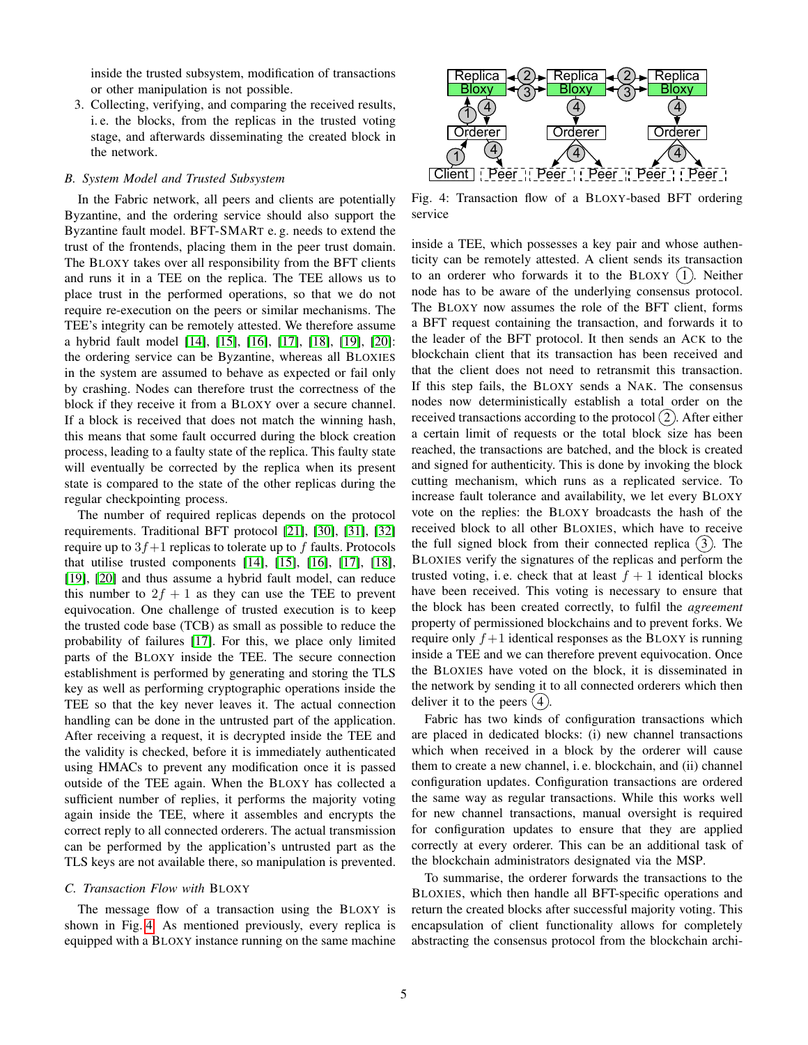inside the trusted subsystem, modification of transactions or other manipulation is not possible.

3. Collecting, verifying, and comparing the received results, i. e. the blocks, from the replicas in the trusted voting stage, and afterwards disseminating the created block in the network.

## *B. System Model and Trusted Subsystem*

In the Fabric network, all peers and clients are potentially Byzantine, and the ordering service should also support the Byzantine fault model. BFT-SMART e. g. needs to extend the trust of the frontends, placing them in the peer trust domain. The BLOXY takes over all responsibility from the BFT clients and runs it in a TEE on the replica. The TEE allows us to place trust in the performed operations, so that we do not require re-execution on the peers or similar mechanisms. The TEE's integrity can be remotely attested. We therefore assume a hybrid fault model [\[14\]](#page-9-13), [\[15\]](#page-9-14), [\[16\]](#page-9-15), [\[17\]](#page-9-16), [\[18\]](#page-9-17), [\[19\]](#page-9-18), [\[20\]](#page-9-19): the ordering service can be Byzantine, whereas all BLOXIES in the system are assumed to behave as expected or fail only by crashing. Nodes can therefore trust the correctness of the block if they receive it from a BLOXY over a secure channel. If a block is received that does not match the winning hash, this means that some fault occurred during the block creation process, leading to a faulty state of the replica. This faulty state will eventually be corrected by the replica when its present state is compared to the state of the other replicas during the regular checkpointing process.

The number of required replicas depends on the protocol requirements. Traditional BFT protocol [\[21\]](#page-9-20), [\[30\]](#page-9-30), [\[31\]](#page-9-31), [\[32\]](#page-9-32) require up to  $3f+1$  replicas to tolerate up to f faults. Protocols that utilise trusted components [\[14\]](#page-9-13), [\[15\]](#page-9-14), [\[16\]](#page-9-15), [\[17\]](#page-9-16), [\[18\]](#page-9-17), [\[19\]](#page-9-18), [\[20\]](#page-9-19) and thus assume a hybrid fault model, can reduce this number to  $2f + 1$  as they can use the TEE to prevent equivocation. One challenge of trusted execution is to keep the trusted code base (TCB) as small as possible to reduce the probability of failures [\[17\]](#page-9-16). For this, we place only limited parts of the BLOXY inside the TEE. The secure connection establishment is performed by generating and storing the TLS key as well as performing cryptographic operations inside the TEE so that the key never leaves it. The actual connection handling can be done in the untrusted part of the application. After receiving a request, it is decrypted inside the TEE and the validity is checked, before it is immediately authenticated using HMACs to prevent any modification once it is passed outside of the TEE again. When the BLOXY has collected a sufficient number of replies, it performs the majority voting again inside the TEE, where it assembles and encrypts the correct reply to all connected orderers. The actual transmission can be performed by the application's untrusted part as the TLS keys are not available there, so manipulation is prevented.

## <span id="page-4-1"></span>*C. Transaction Flow with* BLOXY

The message flow of a transaction using the BLOXY is shown in Fig. [4.](#page-4-0) As mentioned previously, every replica is equipped with a BLOXY instance running on the same machine

<span id="page-4-0"></span>

Fig. 4: Transaction flow of a BLOXY-based BFT ordering service

inside a TEE, which possesses a key pair and whose authenticity can be remotely attested. A client sends its transaction to an orderer who forwards it to the BLOXY  $(1)$ . Neither node has to be aware of the underlying consensus protocol. The BLOXY now assumes the role of the BFT client, forms a BFT request containing the transaction, and forwards it to the leader of the BFT protocol. It then sends an ACK to the blockchain client that its transaction has been received and that the client does not need to retransmit this transaction. If this step fails, the BLOXY sends a NAK. The consensus nodes now deterministically establish a total order on the received transactions according to the protocol  $(2)$ . After either a certain limit of requests or the total block size has been reached, the transactions are batched, and the block is created and signed for authenticity. This is done by invoking the block cutting mechanism, which runs as a replicated service. To increase fault tolerance and availability, we let every BLOXY vote on the replies: the BLOXY broadcasts the hash of the received block to all other BLOXIES, which have to receive the full signed block from their connected replica  $(3)$ . The BLOXIES verify the signatures of the replicas and perform the trusted voting, i.e. check that at least  $f + 1$  identical blocks have been received. This voting is necessary to ensure that the block has been created correctly, to fulfil the *agreement* property of permissioned blockchains and to prevent forks. We require only  $f+1$  identical responses as the BLOXY is running inside a TEE and we can therefore prevent equivocation. Once the BLOXIES have voted on the block, it is disseminated in the network by sending it to all connected orderers which then deliver it to the peers  $(4)$ 

Fabric has two kinds of configuration transactions which are placed in dedicated blocks: (i) new channel transactions which when received in a block by the orderer will cause them to create a new channel, i. e. blockchain, and (ii) channel configuration updates. Configuration transactions are ordered the same way as regular transactions. While this works well for new channel transactions, manual oversight is required for configuration updates to ensure that they are applied correctly at every orderer. This can be an additional task of the blockchain administrators designated via the MSP.

To summarise, the orderer forwards the transactions to the BLOXIES, which then handle all BFT-specific operations and return the created blocks after successful majority voting. This encapsulation of client functionality allows for completely abstracting the consensus protocol from the blockchain archi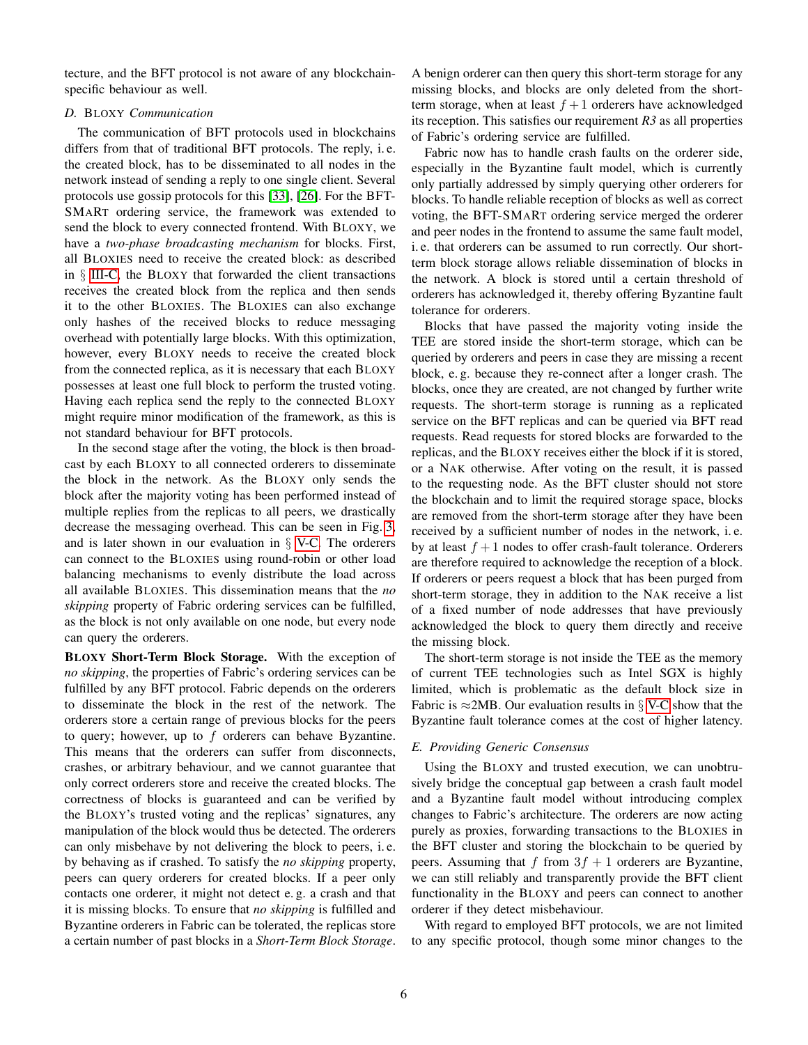tecture, and the BFT protocol is not aware of any blockchainspecific behaviour as well.

#### <span id="page-5-1"></span>*D.* BLOXY *Communication*

The communication of BFT protocols used in blockchains differs from that of traditional BFT protocols. The reply, i. e. the created block, has to be disseminated to all nodes in the network instead of sending a reply to one single client. Several protocols use gossip protocols for this [\[33\]](#page-9-33), [\[26\]](#page-9-26). For the BFT-SMART ordering service, the framework was extended to send the block to every connected frontend. With BLOXY, we have a *two-phase broadcasting mechanism* for blocks. First, all BLOXIES need to receive the created block: as described in § [III-C,](#page-4-1) the BLOXY that forwarded the client transactions receives the created block from the replica and then sends it to the other BLOXIES. The BLOXIES can also exchange only hashes of the received blocks to reduce messaging overhead with potentially large blocks. With this optimization, however, every BLOXY needs to receive the created block from the connected replica, as it is necessary that each BLOXY possesses at least one full block to perform the trusted voting. Having each replica send the reply to the connected BLOXY might require minor modification of the framework, as this is not standard behaviour for BFT protocols.

In the second stage after the voting, the block is then broadcast by each BLOXY to all connected orderers to disseminate the block in the network. As the BLOXY only sends the block after the majority voting has been performed instead of multiple replies from the replicas to all peers, we drastically decrease the messaging overhead. This can be seen in Fig. [3,](#page-3-1) and is later shown in our evaluation in  $\S$  [V-C.](#page-7-1) The orderers can connect to the BLOXIES using round-robin or other load balancing mechanisms to evenly distribute the load across all available BLOXIES. This dissemination means that the *no skipping* property of Fabric ordering services can be fulfilled, as the block is not only available on one node, but every node can query the orderers.

BLOXY Short-Term Block Storage. With the exception of *no skipping*, the properties of Fabric's ordering services can be fulfilled by any BFT protocol. Fabric depends on the orderers to disseminate the block in the rest of the network. The orderers store a certain range of previous blocks for the peers to query; however, up to  $f$  orderers can behave Byzantine. This means that the orderers can suffer from disconnects, crashes, or arbitrary behaviour, and we cannot guarantee that only correct orderers store and receive the created blocks. The correctness of blocks is guaranteed and can be verified by the BLOXY's trusted voting and the replicas' signatures, any manipulation of the block would thus be detected. The orderers can only misbehave by not delivering the block to peers, i. e. by behaving as if crashed. To satisfy the *no skipping* property, peers can query orderers for created blocks. If a peer only contacts one orderer, it might not detect e. g. a crash and that it is missing blocks. To ensure that *no skipping* is fulfilled and Byzantine orderers in Fabric can be tolerated, the replicas store a certain number of past blocks in a *Short-Term Block Storage*.

A benign orderer can then query this short-term storage for any missing blocks, and blocks are only deleted from the shortterm storage, when at least  $f + 1$  orderers have acknowledged its reception. This satisfies our requirement *R3* as all properties of Fabric's ordering service are fulfilled.

Fabric now has to handle crash faults on the orderer side, especially in the Byzantine fault model, which is currently only partially addressed by simply querying other orderers for blocks. To handle reliable reception of blocks as well as correct voting, the BFT-SMART ordering service merged the orderer and peer nodes in the frontend to assume the same fault model, i. e. that orderers can be assumed to run correctly. Our shortterm block storage allows reliable dissemination of blocks in the network. A block is stored until a certain threshold of orderers has acknowledged it, thereby offering Byzantine fault tolerance for orderers.

Blocks that have passed the majority voting inside the TEE are stored inside the short-term storage, which can be queried by orderers and peers in case they are missing a recent block, e. g. because they re-connect after a longer crash. The blocks, once they are created, are not changed by further write requests. The short-term storage is running as a replicated service on the BFT replicas and can be queried via BFT read requests. Read requests for stored blocks are forwarded to the replicas, and the BLOXY receives either the block if it is stored, or a NAK otherwise. After voting on the result, it is passed to the requesting node. As the BFT cluster should not store the blockchain and to limit the required storage space, blocks are removed from the short-term storage after they have been received by a sufficient number of nodes in the network, i. e. by at least  $f + 1$  nodes to offer crash-fault tolerance. Orderers are therefore required to acknowledge the reception of a block. If orderers or peers request a block that has been purged from short-term storage, they in addition to the NAK receive a list of a fixed number of node addresses that have previously acknowledged the block to query them directly and receive the missing block.

The short-term storage is not inside the TEE as the memory of current TEE technologies such as Intel SGX is highly limited, which is problematic as the default block size in Fabric is  $\approx$ 2MB. Our evaluation results in § [V-C](#page-7-1) show that the Byzantine fault tolerance comes at the cost of higher latency.

# <span id="page-5-0"></span>*E. Providing Generic Consensus*

Using the BLOXY and trusted execution, we can unobtrusively bridge the conceptual gap between a crash fault model and a Byzantine fault model without introducing complex changes to Fabric's architecture. The orderers are now acting purely as proxies, forwarding transactions to the BLOXIES in the BFT cluster and storing the blockchain to be queried by peers. Assuming that f from  $3f + 1$  orderers are Byzantine, we can still reliably and transparently provide the BFT client functionality in the BLOXY and peers can connect to another orderer if they detect misbehaviour.

With regard to employed BFT protocols, we are not limited to any specific protocol, though some minor changes to the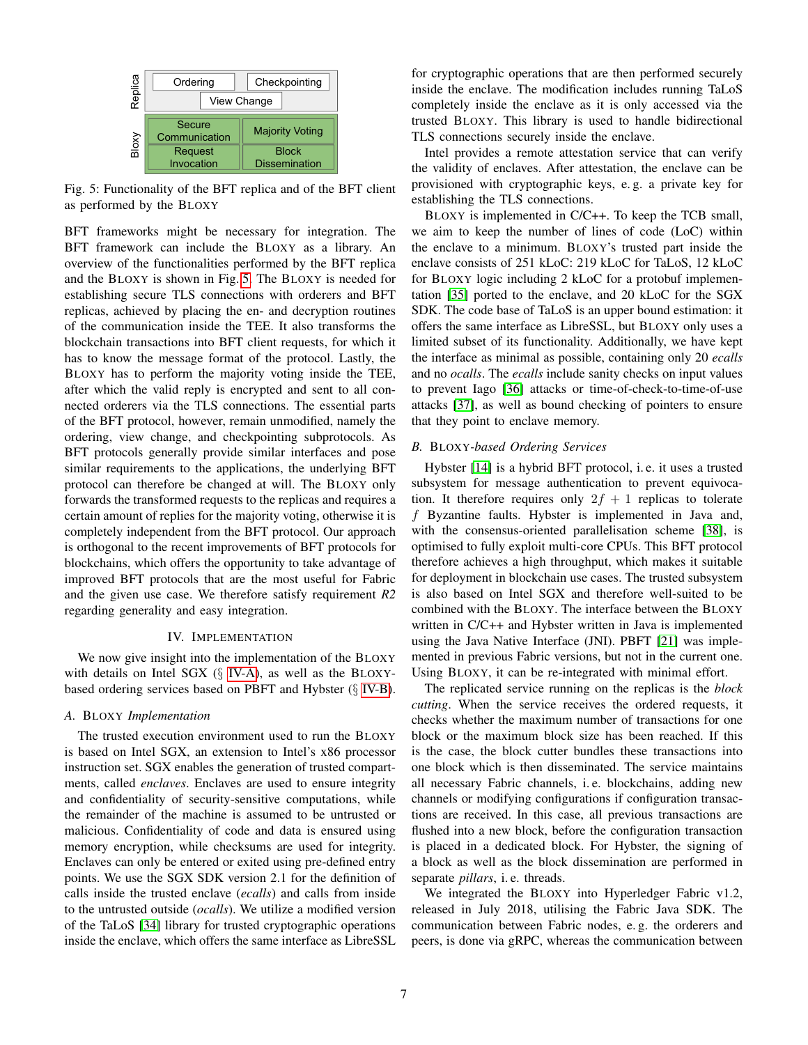<span id="page-6-1"></span>

Fig. 5: Functionality of the BFT replica and of the BFT client as performed by the BLOXY

BFT frameworks might be necessary for integration. The BFT framework can include the BLOXY as a library. An overview of the functionalities performed by the BFT replica and the BLOXY is shown in Fig. [5.](#page-6-1) The BLOXY is needed for establishing secure TLS connections with orderers and BFT replicas, achieved by placing the en- and decryption routines of the communication inside the TEE. It also transforms the blockchain transactions into BFT client requests, for which it has to know the message format of the protocol. Lastly, the BLOXY has to perform the majority voting inside the TEE, after which the valid reply is encrypted and sent to all connected orderers via the TLS connections. The essential parts of the BFT protocol, however, remain unmodified, namely the ordering, view change, and checkpointing subprotocols. As BFT protocols generally provide similar interfaces and pose similar requirements to the applications, the underlying BFT protocol can therefore be changed at will. The BLOXY only forwards the transformed requests to the replicas and requires a certain amount of replies for the majority voting, otherwise it is completely independent from the BFT protocol. Our approach is orthogonal to the recent improvements of BFT protocols for blockchains, which offers the opportunity to take advantage of improved BFT protocols that are the most useful for Fabric and the given use case. We therefore satisfy requirement *R2* regarding generality and easy integration.

## IV. IMPLEMENTATION

<span id="page-6-0"></span>We now give insight into the implementation of the BLOXY with details on Intel SGX  $(\S$  [IV-A\)](#page-6-2), as well as the BLOXYbased ordering services based on PBFT and Hybster (§ [IV-B\)](#page-6-3).

#### <span id="page-6-2"></span>*A.* BLOXY *Implementation*

The trusted execution environment used to run the BLOXY is based on Intel SGX, an extension to Intel's x86 processor instruction set. SGX enables the generation of trusted compartments, called *enclaves*. Enclaves are used to ensure integrity and confidentiality of security-sensitive computations, while the remainder of the machine is assumed to be untrusted or malicious. Confidentiality of code and data is ensured using memory encryption, while checksums are used for integrity. Enclaves can only be entered or exited using pre-defined entry points. We use the SGX SDK version 2.1 for the definition of calls inside the trusted enclave (*ecalls*) and calls from inside to the untrusted outside (*ocalls*). We utilize a modified version of the TaLoS [\[34\]](#page-9-34) library for trusted cryptographic operations inside the enclave, which offers the same interface as LibreSSL for cryptographic operations that are then performed securely inside the enclave. The modification includes running TaLoS completely inside the enclave as it is only accessed via the trusted BLOXY. This library is used to handle bidirectional TLS connections securely inside the enclave.

Intel provides a remote attestation service that can verify the validity of enclaves. After attestation, the enclave can be provisioned with cryptographic keys, e. g. a private key for establishing the TLS connections.

BLOXY is implemented in C/C++. To keep the TCB small, we aim to keep the number of lines of code (LoC) within the enclave to a minimum. BLOXY's trusted part inside the enclave consists of 251 kLoC: 219 kLoC for TaLoS, 12 kLoC for BLOXY logic including 2 kLoC for a protobuf implementation [\[35\]](#page-9-35) ported to the enclave, and 20 kLoC for the SGX SDK. The code base of TaLoS is an upper bound estimation: it offers the same interface as LibreSSL, but BLOXY only uses a limited subset of its functionality. Additionally, we have kept the interface as minimal as possible, containing only 20 *ecalls* and no *ocalls*. The *ecalls* include sanity checks on input values to prevent Iago [\[36\]](#page-9-36) attacks or time-of-check-to-time-of-use attacks [\[37\]](#page-9-37), as well as bound checking of pointers to ensure that they point to enclave memory.

#### <span id="page-6-3"></span>*B.* BLOXY*-based Ordering Services*

Hybster [\[14\]](#page-9-13) is a hybrid BFT protocol, i. e. it uses a trusted subsystem for message authentication to prevent equivocation. It therefore requires only  $2f + 1$  replicas to tolerate f Byzantine faults. Hybster is implemented in Java and, with the consensus-oriented parallelisation scheme [\[38\]](#page-9-38), is optimised to fully exploit multi-core CPUs. This BFT protocol therefore achieves a high throughput, which makes it suitable for deployment in blockchain use cases. The trusted subsystem is also based on Intel SGX and therefore well-suited to be combined with the BLOXY. The interface between the BLOXY written in C/C++ and Hybster written in Java is implemented using the Java Native Interface (JNI). PBFT [\[21\]](#page-9-20) was implemented in previous Fabric versions, but not in the current one. Using BLOXY, it can be re-integrated with minimal effort.

The replicated service running on the replicas is the *block cutting*. When the service receives the ordered requests, it checks whether the maximum number of transactions for one block or the maximum block size has been reached. If this is the case, the block cutter bundles these transactions into one block which is then disseminated. The service maintains all necessary Fabric channels, i. e. blockchains, adding new channels or modifying configurations if configuration transactions are received. In this case, all previous transactions are flushed into a new block, before the configuration transaction is placed in a dedicated block. For Hybster, the signing of a block as well as the block dissemination are performed in separate *pillars*, i. e. threads.

We integrated the BLOXY into Hyperledger Fabric v1.2, released in July 2018, utilising the Fabric Java SDK. The communication between Fabric nodes, e. g. the orderers and peers, is done via gRPC, whereas the communication between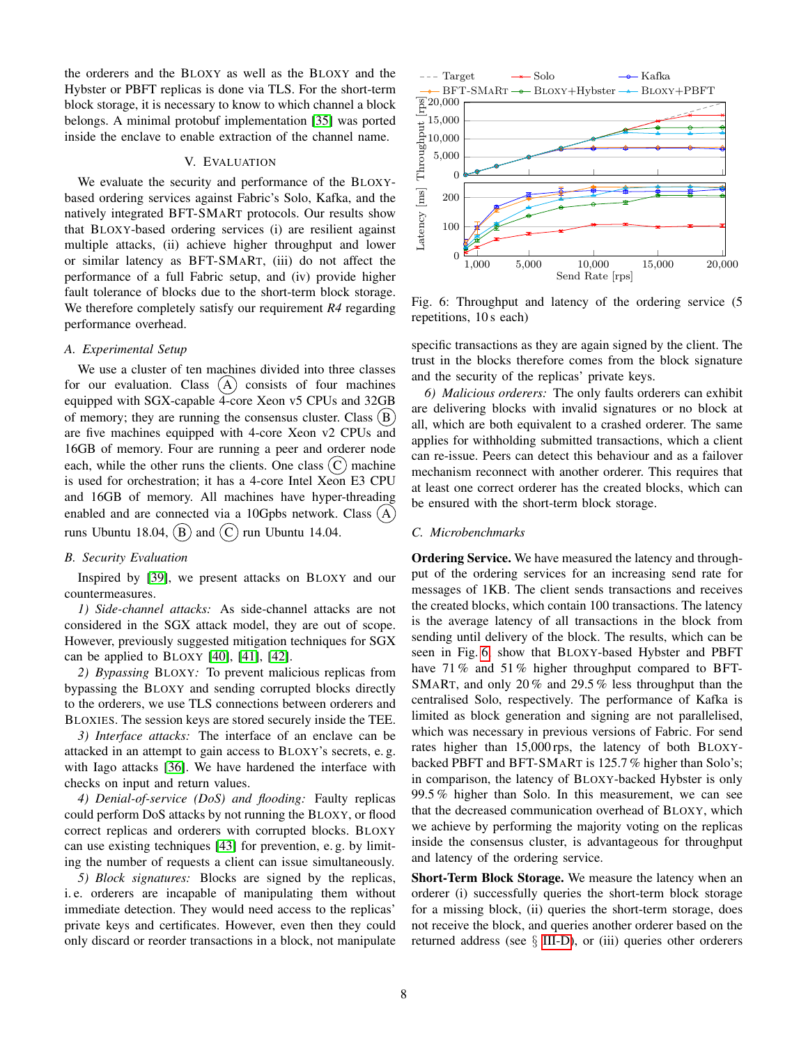the orderers and the BLOXY as well as the BLOXY and the Hybster or PBFT replicas is done via TLS. For the short-term block storage, it is necessary to know to which channel a block belongs. A minimal protobuf implementation [\[35\]](#page-9-35) was ported inside the enclave to enable extraction of the channel name.

#### V. EVALUATION

We evaluate the security and performance of the BLOXYbased ordering services against Fabric's Solo, Kafka, and the natively integrated BFT-SMART protocols. Our results show that BLOXY-based ordering services (i) are resilient against multiple attacks, (ii) achieve higher throughput and lower or similar latency as BFT-SMART, (iii) do not affect the performance of a full Fabric setup, and (iv) provide higher fault tolerance of blocks due to the short-term block storage. We therefore completely satisfy our requirement *R4* regarding performance overhead.

# *A. Experimental Setup*

<span id="page-7-0"></span>We use a cluster of ten machines divided into three classes for our evaluation. Class  $(A)$  consists of four machines equipped with SGX-capable 4-core Xeon v5 CPUs and 32GB of memory; they are running the consensus cluster. Class  $(B)$ are five machines equipped with 4-core Xeon v2 CPUs and 16GB of memory. Four are running a peer and orderer node each, while the other runs the clients. One class  $(C)$  machine is used for orchestration; it has a 4-core Intel Xeon E3 CPU and 16GB of memory. All machines have hyper-threading enabled and are connected via a 10Gpbs network. Class  $(A)$ runs Ubuntu 18.04,  $(B)$  and  $(C)$  run Ubuntu 14.04. We evaluate the society and performance of the BLOXY. From the propagation of the propagation of the propagation of the propagation of the propagation of the smallent performance of a full Fabric supportions in the smalle

# *B. Security Evaluation*

Inspired by [\[39\]](#page-9-39), we present attacks on BLOXY and our countermeasures.

*1) Side-channel attacks:* As side-channel attacks are not considered in the SGX attack model, they are out of scope. However, previously suggested mitigation techniques for SGX can be applied to BLOXY  $[40]$ ,  $[41]$ ,  $[42]$ .

*2) Bypassing* BLOXY*:* To prevent malicious replicas from bypassing the BLOXY and sending corrupted blocks directly to the orderers, we use TLS connections between orderers and BLOXIES. The session keys are stored securely inside the TEE.

*3) Interface attacks:* The interface of an enclave can be attacked in an attempt to gain access to BLOXY's secrets, e. g. with Iago attacks [\[36\]](#page-9-36). We have hardened the interface with checks on input and return values.

*4) Denial-of-service (DoS) and flooding:* Faulty replicas could perform DoS attacks by not running the BLOXY, or flood correct replicas and orderers with corrupted blocks. BLOXY can use existing techniques [\[43\]](#page-9-43) for prevention, e. g. by limiting the number of requests a client can issue simultaneously.

*5) Block signatures:* Blocks are signed by the replicas, i. e. orderers are incapable of manipulating them without immediate detection. They would need access to the replicas' private keys and certificates. However, even then they could

<span id="page-7-2"></span>

Fig. 6: Throughput and latency of the ordering service (5 repetitions, 10 s each)

specific transactions as they are again signed by the client. The trust in the blocks therefore comes from the block signature and the security of the replicas' private keys.

*6) Malicious orderers:* The only faults orderers can exhibit are delivering blocks with invalid signatures or no block at all, which are both equivalent to a crashed orderer. The same applies for withholding submitted transactions, which a client can re-issue. Peers can detect this behaviour and as a failover mechanism reconnect with another orderer. This requires that at least one correct orderer has the created blocks, which can be ensured with the short-term block storage.

#### <span id="page-7-1"></span>*C. Microbenchmarks*

Ordering Service. We have measured the latency and throughput of the ordering services for an increasing send rate for messages of 1KB. The client sends transactions and receives the created blocks, which contain 100 transactions. The latency is the average latency of all transactions in the block from sending until delivery of the block. The results, which can be seen in Fig. [6,](#page-7-2) show that BLOXY-based Hybster and PBFT have 71% and 51% higher throughput compared to BFT-SMART, and only 20 % and 29.5 % less throughput than the centralised Solo, respectively. The performance of Kafka is limited as block generation and signing are not parallelised, which was necessary in previous versions of Fabric. For send rates higher than 15,000 rps, the latency of both BLOXYbacked PBFT and BFT-SMART is 125.7 % higher than Solo's; in comparison, the latency of BLOXY-backed Hybster is only 99.5 % higher than Solo. In this measurement, we can see that the decreased communication overhead of BLOXY, which we achieve by performing the majority voting on the replicas inside the consensus cluster, is advantageous for throughput and latency of the ordering service.

Short-Term Block Storage. We measure the latency when an orderer (i) successfully queries the short-term block storage for a missing block, (ii) queries the short-term storage, does not receive the block, and queries another orderer based on the returned address (see  $\S$  [III-D\)](#page-5-1), or (iii) queries other orderers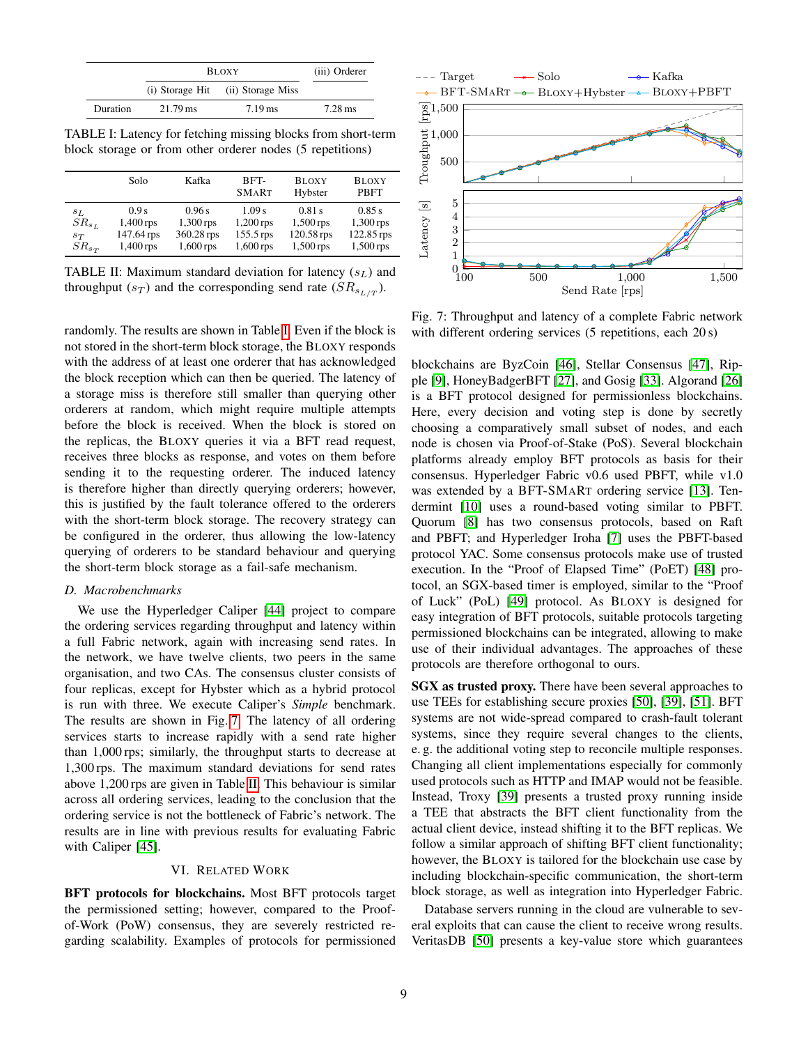<span id="page-8-1"></span>

|          | <b>BLOXY</b>    | (iii) Orderer        |                      |
|----------|-----------------|----------------------|----------------------|
|          | (i) Storage Hit | (ii) Storage Miss    |                      |
| Duration | 21.79 ms        | $7.19 \,\mathrm{ms}$ | $7.28 \,\mathrm{ms}$ |

TABLE I: Latency for fetching missing blocks from short-term block storage or from other orderer nodes (5 repetitions)

<span id="page-8-3"></span>

|            | Solo       | Kafka       | BFT-<br><b>SMART</b> | <b>BLOXY</b><br>Hybster | <b>BLOXY</b><br><b>PBFT</b> |
|------------|------------|-------------|----------------------|-------------------------|-----------------------------|
| $S_L$      | 0.9s       | 0.96 s      | 1.09 s               | $0.81$ s                | 0.85 s                      |
| $SR_{s_L}$ | 1,400 rps  | $1,300$ rps | $1,200$ rps          | $1,500$ rps             | 1,300 rps                   |
| $S_{T}$    | 147.64 rps | 360.28 rps  | 155.5 rps            | 120.58 rps              | 122.85 rps                  |
| $SR_{s_T}$ | 1,400 rps  | $1,600$ rps | $1,600$ rps          | $1,500$ rps             | 1,500 rps                   |

TABLE II: Maximum standard deviation for latency  $(s_L)$  and throughput  $(s_T)$  and the corresponding send rate  $(SR_{s_{L/T}})$ .

randomly. The results are shown in Table [I.](#page-8-1) Even if the block is not stored in the short-term block storage, the BLOXY responds with the address of at least one orderer that has acknowledged the block reception which can then be queried. The latency of a storage miss is therefore still smaller than querying other orderers at random, which might require multiple attempts before the block is received. When the block is stored on the replicas, the BLOXY queries it via a BFT read request, receives three blocks as response, and votes on them before sending it to the requesting orderer. The induced latency is therefore higher than directly querying orderers; however, this is justified by the fault tolerance offered to the orderers with the short-term block storage. The recovery strategy can be configured in the orderer, thus allowing the low-latency querying of orderers to be standard behaviour and querying the short-term block storage as a fail-safe mechanism.

## *D. Macrobenchmarks*

We use the Hyperledger Caliper [\[44\]](#page-9-44) project to compare the ordering services regarding throughput and latency within a full Fabric network, again with increasing send rates. In the network, we have twelve clients, two peers in the same organisation, and two CAs. The consensus cluster consists of four replicas, except for Hybster which as a hybrid protocol is run with three. We execute Caliper's *Simple* benchmark. The results are shown in Fig. [7.](#page-8-2) The latency of all ordering services starts to increase rapidly with a send rate higher than 1,000 rps; similarly, the throughput starts to decrease at 1,300 rps. The maximum standard deviations for send rates above 1,200 rps are given in Table [II.](#page-8-3) This behaviour is similar across all ordering services, leading to the conclusion that the ordering service is not the bottleneck of Fabric's network. The results are in line with previous results for evaluating Fabric with Caliper [\[45\]](#page-9-45).

# VI. RELATED WORK

<span id="page-8-0"></span>BFT protocols for blockchains. Most BFT protocols target the permissioned setting; however, compared to the Proofof-Work (PoW) consensus, they are severely restricted regarding scalability. Examples of protocols for permissioned

<span id="page-8-2"></span>

Fig. 7: Throughput and latency of a complete Fabric network with different ordering services (5 repetitions, each 20 s)

blockchains are ByzCoin [\[46\]](#page-9-46), Stellar Consensus [\[47\]](#page-9-47), Ripple [\[9\]](#page-9-8), HoneyBadgerBFT [\[27\]](#page-9-27), and Gosig [\[33\]](#page-9-33). Algorand [\[26\]](#page-9-26) is a BFT protocol designed for permissionless blockchains. Here, every decision and voting step is done by secretly choosing a comparatively small subset of nodes, and each node is chosen via Proof-of-Stake (PoS). Several blockchain platforms already employ BFT protocols as basis for their consensus. Hyperledger Fabric v0.6 used PBFT, while v1.0 was extended by a BFT-SMART ordering service [\[13\]](#page-9-12). Tendermint [\[10\]](#page-9-9) uses a round-based voting similar to PBFT. Quorum [\[8\]](#page-9-7) has two consensus protocols, based on Raft and PBFT; and Hyperledger Iroha [\[7\]](#page-9-6) uses the PBFT-based protocol YAC. Some consensus protocols make use of trusted execution. In the "Proof of Elapsed Time" (PoET) [\[48\]](#page-9-48) protocol, an SGX-based timer is employed, similar to the "Proof of Luck" (PoL) [\[49\]](#page-9-49) protocol. As BLOXY is designed for easy integration of BFT protocols, suitable protocols targeting permissioned blockchains can be integrated, allowing to make use of their individual advantages. The approaches of these protocols are therefore orthogonal to ours.

SGX as trusted proxy. There have been several approaches to use TEEs for establishing secure proxies [\[50\]](#page-9-50), [\[39\]](#page-9-39), [\[51\]](#page-9-51). BFT systems are not wide-spread compared to crash-fault tolerant systems, since they require several changes to the clients, e. g. the additional voting step to reconcile multiple responses. Changing all client implementations especially for commonly used protocols such as HTTP and IMAP would not be feasible. Instead, Troxy [\[39\]](#page-9-39) presents a trusted proxy running inside a TEE that abstracts the BFT client functionality from the actual client device, instead shifting it to the BFT replicas. We follow a similar approach of shifting BFT client functionality; however, the BLOXY is tailored for the blockchain use case by including blockchain-specific communication, the short-term block storage, as well as integration into Hyperledger Fabric.

Database servers running in the cloud are vulnerable to several exploits that can cause the client to receive wrong results. VeritasDB [\[50\]](#page-9-50) presents a key-value store which guarantees